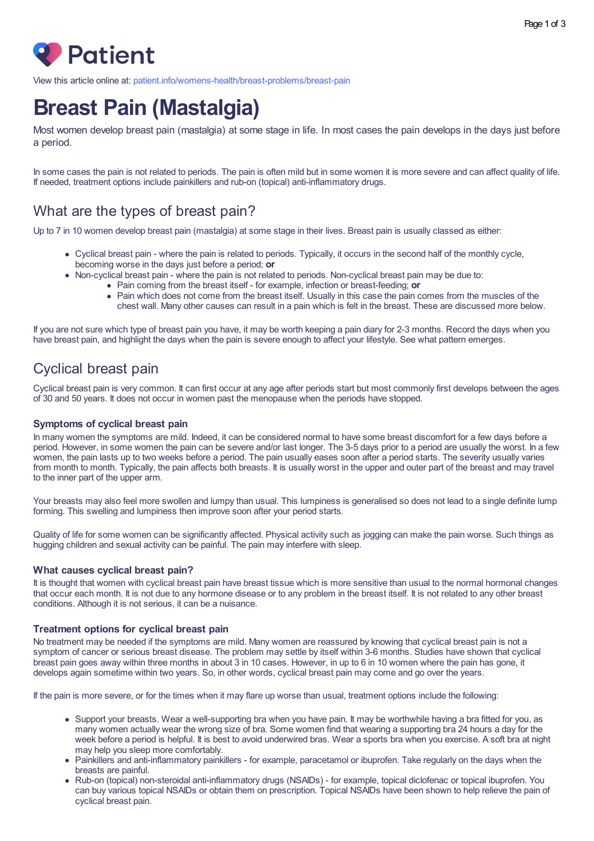

View this article online at: [patient.info/womens-health/breast-problems/breast-pain](https://patient.info/womens-health/breast-problems/breast-pain)

# **Breast Pain (Mastalgia)**

Most women develop breast pain (mastalgia) at some stage in life. In most cases the pain develops in the days just before a period.

In some cases the pain is not related to periods. The pain is often mild but in some women it is more severe and can affect quality of life. If needed, treatment options include painkillers and rub-on (topical) anti-inflammatory drugs.

# What are the types of breast pain?

Up to 7 in 10 women develop breast pain (mastalgia) at some stage in their lives. Breast pain is usually classed as either:

- Cyclical breast pain where the pain is related to periods. Typically, it occurs in the second half of the monthly cycle, becoming worse in the days just before a period; **or**
- Non-cyclical breast pain where the pain is not related to periods. Non-cyclical breast pain may be due to:
	- Pain coming from the breast itself for example, infection or breast-feeding; **or**
	- Pain which does not come from the breast itself. Usually in this case the pain comes from the muscles of the chest wall. Many other causes can result in a pain which is felt in the breast. These are discussed more below.

If you are not sure which type of breast pain you have, it may be worth keeping a pain diary for 2-3 months. Record the days when you have breast pain, and highlight the days when the pain is severe enough to affect your lifestyle. See what pattern emerges.

# Cyclical breast pain

Cyclical breast pain is very common. It can first occur at any age after periods start but most commonly first develops between the ages of 30 and 50 years. It does not occur in women past the menopause when the periods have stopped.

### **Symptoms of cyclical breast pain**

In many women the symptoms are mild. Indeed, it can be considered normal to have some breast discomfort for a few days before a period. However, in some women the pain can be severe and/or last longer. The 3-5 days prior to a period are usually the worst. In a few women, the pain lasts up to two weeks before a period. The pain usually eases soon after a period starts. The severity usually varies from month to month. Typically, the pain affects both breasts. It is usually worst in the upper and outer part of the breast and may travel to the inner part of the upper arm.

Your breasts may also feel more swollen and lumpy than usual. This lumpiness is generalised so does not lead to a single definite lump forming. This swelling and lumpiness then improve soon after your period starts.

Quality of life for some women can be significantly affected. Physical activity such as jogging can make the pain worse. Such things as hugging children and sexual activity can be painful. The pain may interfere with sleep.

### **What causes cyclical breast pain?**

It is thought that women with cyclical breast pain have breast tissue which is more sensitive than usual to the normal hormonal changes that occur each month. It is not due to any hormone disease or to any problem in the breast itself. It is not related to any other breast conditions. Although it is not serious, it can be a nuisance.

### **Treatment options for cyclical breast pain**

No treatment may be needed if the symptoms are mild. Many women are reassured by knowing that cyclical breast pain is not a symptom of cancer or serious breast disease. The problem may settle by itself within 3-6 months. Studies have shown that cyclical breast pain goes away within three months in about 3 in 10 cases. However, in up to 6 in 10 women where the pain has gone, it develops again sometime within two years. So, in other words, cyclical breast pain may come and go over the years.

If the pain is more severe, or for the times when it may flare up worse than usual, treatment options include the following:

- Support your breasts. Wear a well-supporting bra when you have pain. It may be worthwhile having a bra fitted for you, as many women actually wear the wrong size of bra. Some women find that wearing a supporting bra 24 hours a day for the week before a period is helpful. It is best to avoid underwired bras. Wear a sports bra when you exercise. A soft bra at night may help you sleep more comfortably.
- Painkillers and anti-inflammatory painkillers for example, paracetamol or ibuprofen. Take regularly on the days when the breasts are painful.
- Rub-on (topical) non-steroidal anti-inflammatory drugs (NSAIDs) for example, topical diclofenac or topical ibuprofen. You can buy various topical NSAIDs or obtain them on prescription. Topical NSAIDs have been shown to help relieve the pain of cyclical breast pain.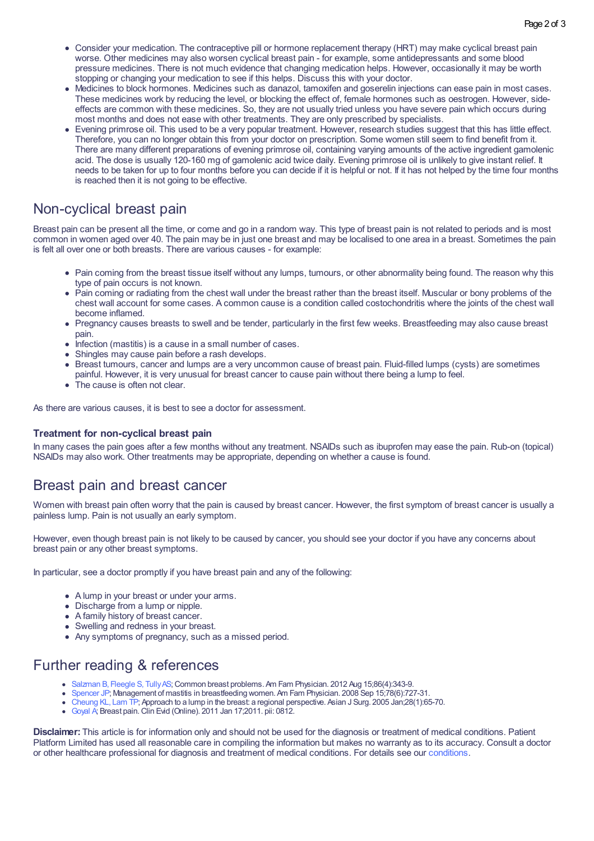- Consider your medication. The contraceptive pill or hormone replacement therapy (HRT) may make cyclical breast pain worse. Other medicines may also worsen cyclical breast pain - for example, some antidepressants and some blood pressure medicines. There is not much evidence that changing medication helps. However, occasionally it may be worth stopping or changing your medication to see if this helps. Discuss this with your doctor.
- Medicines to block hormones. Medicines such as danazol, tamoxifen and goserelin injections can ease pain in most cases. These medicines work by reducing the level, or blocking the effect of, female hormones such as oestrogen. However, sideeffects are common with these medicines. So, they are not usually tried unless you have severe pain which occurs during most months and does not ease with other treatments. They are only prescribed by specialists.
- Evening primrose oil. This used to be a very popular treatment. However, research studies suggest that this has little effect. Therefore, you can no longer obtain this from your doctor on prescription. Some women still seem to find benefit from it. There are many different preparations of evening primrose oil, containing varying amounts of the active ingredient gamolenic acid. The dose is usually 120-160 mg of gamolenic acid twice daily. Evening primrose oil is unlikely to give instant relief. It needs to be taken for up to four months before you can decide if it is helpful or not. If it has not helped by the time four months is reached then it is not going to be effective.

## Non-cyclical breast pain

Breast pain can be present all the time, or come and go in a random way. This type of breast pain is not related to periods and is most common in women aged over 40. The pain may be in just one breast and may be localised to one area in a breast. Sometimes the pain is felt all over one or both breasts. There are various causes - for example:

- Pain coming from the breast tissue itself without any lumps, tumours, or other abnormality being found. The reason why this type of pain occurs is not known.
- Pain coming or radiating from the chest wall under the breast rather than the breast itself. Muscular or bony problems of the chest wall account for some cases. A common cause is a condition called costochondritis where the joints of the chest wall become inflamed.
- Pregnancy causes breasts to swell and be tender, particularly in the first few weeks. Breastfeeding may also cause breast pain.
- Infection (mastitis) is a cause in a small number of cases.
- Shingles may cause pain before a rash develops.
- Breast tumours, cancer and lumps are a very uncommon cause of breast pain. Fluid-filled lumps (cysts) are sometimes painful. However, it is very unusual for breast cancer to cause pain without there being a lump to feel.
- The cause is often not clear.

As there are various causes, it is best to see a doctor for assessment.

### **Treatment for non-cyclical breast pain**

In many cases the pain goes after a few months without any treatment. NSAIDs such as ibuprofen may ease the pain. Rub-on (topical) NSAIDs may also work. Other treatments may be appropriate, depending on whether a cause is found.

## Breast pain and breast cancer

Women with breast pain often worry that the pain is caused by breast cancer. However, the first symptom of breast cancer is usually a painless lump. Pain is not usually an early symptom.

However, even though breast pain is not likely to be caused by cancer, you should see your doctor if you have any concerns about breast pain or any other breast symptoms.

In particular, see a doctor promptly if you have breast pain and any of the following:

- A lump in your breast or under your arms.
- Discharge from a lump or nipple.
- A family history of breast cancer.
- Swelling and redness in your breast.
- Any symptoms of pregnancy, such as a missed period.

## Further reading & references

- [Salzman](http://www.aafp.org/afp/2012/0815/p343.html) B, Fleegle S, Tully AS; Common breast problems. Am Fam Physician. 2012 Aug 15:86(4):343-9.
- [Spencer](http://www.aafp.org/afp/2008/0915/p727.html) JP; Management of mastitis in breastfeeding women. Am Fam Physician. 2008 Sep 15;78(6):727-31.
- [Cheung](https://linkinghub.elsevier.com/retrieve/pii/S1015-9584(09)60264-5) KL, Lam TP; Approach to a lump in the breast: a regional perspective. Asian J Surg. 2005 Jan;28(1):65-70.
- [Goyal](http://www.ncbi.nlm.nih.gov/entrez/query.fcgi?cmd=Retrieve&db=PubMed&dopt=Abstract&list_uids=21477394) A; Breast pain.Clin Evid (Online). 2011 Jan 17;2011. pii: 0812.

**Disclaimer:** This article is for information only and should not be used for the diagnosis or treatment of medical conditions. Patient Platform Limited has used all reasonable care in compiling the information but makes no warranty as to its accuracy. Consult a doctor or other healthcare professional for diagnosis and treatment of medical conditions. For details see our [conditions](https://patient.info/terms-and-conditions).